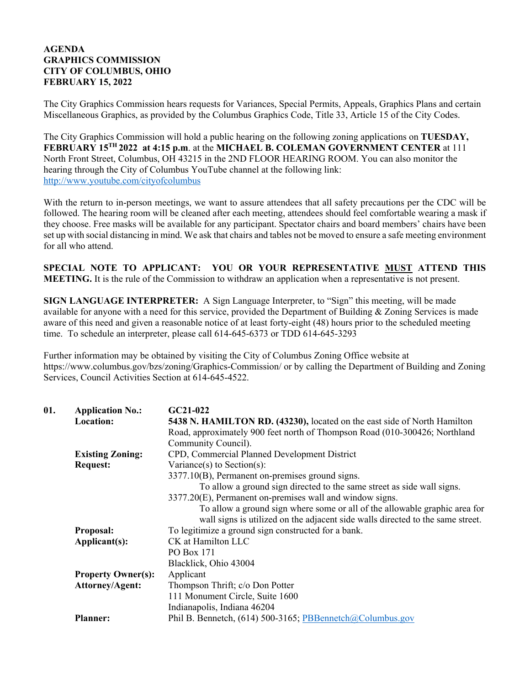## **AGENDA GRAPHICS COMMISSION CITY OF COLUMBUS, OHIO FEBRUARY 15, 2022**

The City Graphics Commission hears requests for Variances, Special Permits, Appeals, Graphics Plans and certain Miscellaneous Graphics, as provided by the Columbus Graphics Code, Title 33, Article 15 of the City Codes.

The City Graphics Commission will hold a public hearing on the following zoning applications on **TUESDAY, FEBRUARY 15TH 2022 at 4:15 p.m**. at the **MICHAEL B. COLEMAN GOVERNMENT CENTER** at 111 North Front Street, Columbus, OH 43215 in the 2ND FLOOR HEARING ROOM. You can also monitor the hearing through the City of Columbus YouTube channel at the following link: http://www.youtube.com/cityofcolumbus

With the return to in-person meetings, we want to assure attendees that all safety precautions per the CDC will be followed. The hearing room will be cleaned after each meeting, attendees should feel comfortable wearing a mask if they choose. Free masks will be available for any participant. Spectator chairs and board members' chairs have been set up with social distancing in mind. We ask that chairs and tables not be moved to ensure a safe meeting environment for all who attend.

**SPECIAL NOTE TO APPLICANT: YOU OR YOUR REPRESENTATIVE MUST ATTEND THIS MEETING.** It is the rule of the Commission to withdraw an application when a representative is not present.

**SIGN LANGUAGE INTERPRETER:** A Sign Language Interpreter, to "Sign" this meeting, will be made available for anyone with a need for this service, provided the Department of Building & Zoning Services is made aware of this need and given a reasonable notice of at least forty-eight (48) hours prior to the scheduled meeting time. To schedule an interpreter, please call 614-645-6373 or TDD 614-645-3293

Further information may be obtained by visiting the City of Columbus Zoning Office website at https://www.columbus.gov/bzs/zoning/Graphics-Commission/ or by calling the Department of Building and Zoning Services, Council Activities Section at 614-645-4522.

| 01. | <b>Application No.:</b>   | $GC21-022$                                                                     |
|-----|---------------------------|--------------------------------------------------------------------------------|
|     | <b>Location:</b>          | 5438 N. HAMILTON RD. (43230), located on the east side of North Hamilton       |
|     |                           | Road, approximately 900 feet north of Thompson Road (010-300426; Northland     |
|     |                           | Community Council).                                                            |
|     | <b>Existing Zoning:</b>   | CPD, Commercial Planned Development District                                   |
|     | <b>Request:</b>           | Variance(s) to Section(s):                                                     |
|     |                           | 3377.10(B), Permanent on-premises ground signs.                                |
|     |                           | To allow a ground sign directed to the same street as side wall signs.         |
|     |                           | 3377.20(E), Permanent on-premises wall and window signs.                       |
|     |                           | To allow a ground sign where some or all of the allowable graphic area for     |
|     |                           | wall signs is utilized on the adjacent side walls directed to the same street. |
|     | <b>Proposal:</b>          | To legitimize a ground sign constructed for a bank.                            |
|     | Applicant(s):             | CK at Hamilton LLC                                                             |
|     |                           | PO Box 171                                                                     |
|     |                           | Blacklick, Ohio 43004                                                          |
|     | <b>Property Owner(s):</b> | Applicant                                                                      |
|     | <b>Attorney/Agent:</b>    | Thompson Thrift; c/o Don Potter                                                |
|     |                           | 111 Monument Circle, Suite 1600                                                |
|     |                           | Indianapolis, Indiana 46204                                                    |
|     | <b>Planner:</b>           | Phil B. Bennetch, (614) 500-3165; PBBennetch@Columbus.gov                      |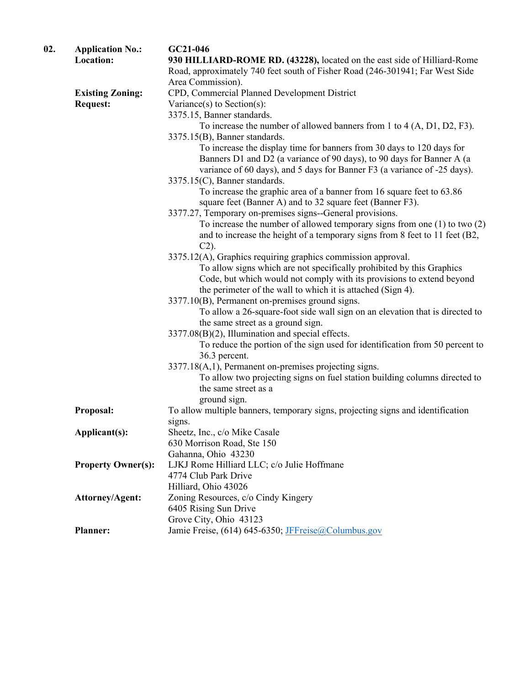| 02. | <b>Application No.:</b>   | GC21-046                                                                                                                                       |
|-----|---------------------------|------------------------------------------------------------------------------------------------------------------------------------------------|
|     | Location:                 | 930 HILLIARD-ROME RD. (43228), located on the east side of Hilliard-Rome                                                                       |
|     |                           | Road, approximately 740 feet south of Fisher Road (246-301941; Far West Side                                                                   |
|     |                           | Area Commission).                                                                                                                              |
|     | <b>Existing Zoning:</b>   | CPD, Commercial Planned Development District                                                                                                   |
|     | <b>Request:</b>           | Variance(s) to Section(s):                                                                                                                     |
|     |                           | 3375.15, Banner standards.                                                                                                                     |
|     |                           | To increase the number of allowed banners from 1 to $4(A, D1, D2, F3)$ .                                                                       |
|     |                           | 3375.15(B), Banner standards.                                                                                                                  |
|     |                           | To increase the display time for banners from 30 days to 120 days for                                                                          |
|     |                           | Banners D1 and D2 (a variance of 90 days), to 90 days for Banner A (a                                                                          |
|     |                           | variance of 60 days), and 5 days for Banner F3 (a variance of -25 days).                                                                       |
|     |                           | 3375.15(C), Banner standards.                                                                                                                  |
|     |                           | To increase the graphic area of a banner from 16 square feet to 63.86                                                                          |
|     |                           | square feet (Banner A) and to 32 square feet (Banner F3).                                                                                      |
|     |                           | 3377.27, Temporary on-premises signs--General provisions.                                                                                      |
|     |                           | To increase the number of allowed temporary signs from one $(1)$ to two $(2)$                                                                  |
|     |                           | and to increase the height of a temporary signs from 8 feet to 11 feet (B2,                                                                    |
|     |                           | $C2$ ).                                                                                                                                        |
|     |                           | 3375.12(A), Graphics requiring graphics commission approval.                                                                                   |
|     |                           | To allow signs which are not specifically prohibited by this Graphics<br>Code, but which would not comply with its provisions to extend beyond |
|     |                           | the perimeter of the wall to which it is attached (Sign 4).                                                                                    |
|     |                           | 3377.10(B), Permanent on-premises ground signs.                                                                                                |
|     |                           | To allow a 26-square-foot side wall sign on an elevation that is directed to                                                                   |
|     |                           | the same street as a ground sign.                                                                                                              |
|     |                           | 3377.08(B)(2), Illumination and special effects.                                                                                               |
|     |                           | To reduce the portion of the sign used for identification from 50 percent to                                                                   |
|     |                           | 36.3 percent.                                                                                                                                  |
|     |                           | 3377.18(A,1), Permanent on-premises projecting signs.                                                                                          |
|     |                           | To allow two projecting signs on fuel station building columns directed to                                                                     |
|     |                           | the same street as a                                                                                                                           |
|     |                           | ground sign.                                                                                                                                   |
|     | Proposal:                 | To allow multiple banners, temporary signs, projecting signs and identification                                                                |
|     |                           | signs.                                                                                                                                         |
|     | Applicant(s):             | Sheetz, Inc., c/o Mike Casale                                                                                                                  |
|     |                           | 630 Morrison Road, Ste 150                                                                                                                     |
|     |                           | Gahanna, Ohio 43230                                                                                                                            |
|     | <b>Property Owner(s):</b> | LJKJ Rome Hilliard LLC; c/o Julie Hoffmane                                                                                                     |
|     |                           | 4774 Club Park Drive                                                                                                                           |
|     |                           | Hilliard, Ohio 43026                                                                                                                           |
|     | <b>Attorney/Agent:</b>    | Zoning Resources, c/o Cindy Kingery                                                                                                            |
|     |                           | 6405 Rising Sun Drive                                                                                                                          |
|     |                           | Grove City, Ohio 43123                                                                                                                         |
|     | <b>Planner:</b>           | Jamie Freise, (614) 645-6350; JFFreise@Columbus.gov                                                                                            |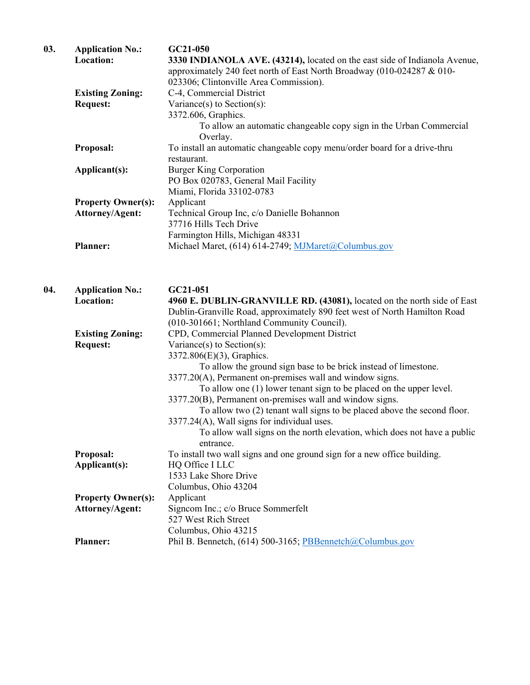| 03. | <b>Application No.:</b><br>Location: | GC21-050<br>3330 INDIANOLA AVE. (43214), located on the east side of Indianola Avenue, |
|-----|--------------------------------------|----------------------------------------------------------------------------------------|
|     |                                      | approximately 240 feet north of East North Broadway (010-024287 & 010-                 |
|     |                                      | 023306; Clintonville Area Commission).                                                 |
|     | <b>Existing Zoning:</b>              | C-4, Commercial District                                                               |
|     | <b>Request:</b>                      | Variance(s) to Section(s):                                                             |
|     |                                      | 3372.606, Graphics.                                                                    |
|     |                                      | To allow an automatic changeable copy sign in the Urban Commercial<br>Overlay.         |
|     | Proposal:                            | To install an automatic changeable copy menu/order board for a drive-thru              |
|     |                                      | restaurant.                                                                            |
|     | Applicant(s):                        | <b>Burger King Corporation</b>                                                         |
|     |                                      | PO Box 020783, General Mail Facility                                                   |
|     |                                      | Miami, Florida 33102-0783                                                              |
|     | <b>Property Owner(s):</b>            | Applicant                                                                              |
|     | <b>Attorney/Agent:</b>               | Technical Group Inc, c/o Danielle Bohannon                                             |
|     |                                      | 37716 Hills Tech Drive                                                                 |
|     |                                      | Farmington Hills, Michigan 48331                                                       |
|     | <b>Planner:</b>                      | Michael Maret, (614) 614-2749; MJMaret@Columbus.gov                                    |
| 04. | <b>Application No.:</b>              | GC21-051                                                                               |
|     | <b>Location:</b>                     | 4960 E. DUBLIN-GRANVILLE RD. (43081), located on the north side of East                |
|     |                                      | Dublin-Granville Road, approximately 890 feet west of North Hamilton Road              |
|     |                                      | (010-301661; Northland Community Council).                                             |
|     | <b>Existing Zoning:</b>              | CPD, Commercial Planned Development District                                           |
|     | <b>Request:</b>                      | Variance(s) to Section(s):                                                             |
|     |                                      | 3372.806(E)(3), Graphics.                                                              |
|     |                                      | To allow the ground sign base to be brick instead of limestone.                        |
|     |                                      | 3377.20(A), Permanent on-premises wall and window signs.                               |
|     |                                      | To allow one $(1)$ lower tenant sign to be placed on the upper level.                  |
|     |                                      | 3377.20(B), Permanent on-premises wall and window signs.                               |
|     |                                      | To allow two (2) tenant wall signs to be placed above the second floor.                |
|     |                                      | 3377.24(A), Wall signs for individual uses.                                            |
|     |                                      | To allow wall signs on the north elevation, which does not have a public               |
|     |                                      | entrance.                                                                              |
|     | Proposal:                            | To install two wall signs and one ground sign for a new office building.               |
|     | Applicant(s):                        | HQ Office I LLC                                                                        |
|     |                                      | 1533 Lake Shore Drive                                                                  |
|     |                                      | Columbus, Ohio 43204                                                                   |
|     | <b>Property Owner(s):</b>            | Applicant                                                                              |
|     | <b>Attorney/Agent:</b>               | Signcom Inc.; c/o Bruce Sommerfelt                                                     |
|     |                                      | 527 West Rich Street                                                                   |
|     |                                      | Columbus, Ohio 43215                                                                   |
|     | <b>Planner:</b>                      | Phil B. Bennetch, (614) 500-3165; PBBennetch@Columbus.gov                              |